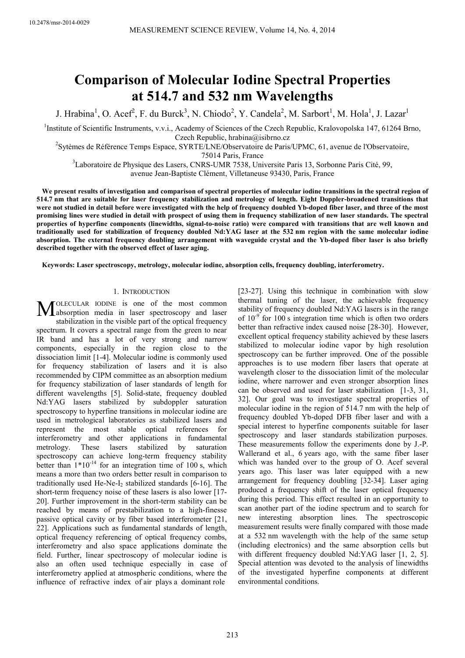# **Comparison of Molecular Iodine Spectral Properties at 514.7 and 532 nm Wavelengths**

J. Hrabina<sup>1</sup>, O. Acef<sup>2</sup>, F. du Burck<sup>3</sup>, N. Chiodo<sup>2</sup>, Y. Candela<sup>2</sup>, M. Sarbort<sup>1</sup>, M. Hola<sup>1</sup>, J. Lazar<sup>1</sup>

<sup>1</sup>Institute of Scientific Instruments, v.v.i., Academy of Sciences of the Czech Republic, Kralovopolska 147, 61264 Brno, Czech Republic, hrabina@isibrno.cz

<sup>2</sup>Sytèmes de Référence Temps Espace, SYRTE/LNE/Observatoire de Paris/UPMC, 61, avenue de l'Observatoire, 75014 Paris, France

<sup>3</sup>Laboratoire de Physique des Lasers, CNRS-UMR 7538, Universite Paris 13, Sorbonne Paris Cité, 99,

avenue Jean-Baptiste Clément, Villetaneuse 93430, Paris, France

We present results of investigation and comparison of spectral properties of molecular iodine transitions in the spectral region of **514.7 nm that are suitable for laser frequency stabilization and metrology of length. Eight Doppler-broadened transitions that were not studied in detail before were investigated with the help of frequency doubled Yb-doped fiber laser, and three of the most promising lines were studied in detail with prospect of using them in frequency stabilization of new laser standards. The spectral properties of hyperfine components (linewidths, signal-to-noise ratio) were compared with transitions that are well known and traditionally used for stabilization of frequency doubled Nd:YAG laser at the 532 nm region with the same molecular iodine absorption. The external frequency doubling arrangement with waveguide crystal and the Yb-doped fiber laser is also briefly described together with the observed effect of laser aging.** 

**Keywords: Laser spectroscopy, metrology, molecular iodine, absorption cells, frequency doubling, interferometry.** 

#### 1. INTRODUCTION

OLECULAR IODINE is one of the most common  $\mathbf{M}$  absorption media in laser spectroscopy and laser<br>
depositive in the visible part of the ortical fragment stabilization in the visible part of the optical frequency spectrum. It covers a spectral range from the green to near IR band and has a lot of very strong and narrow components, especially in the region close to the dissociation limit [1-4]. Molecular iodine is commonly used for frequency stabilization of lasers and it is also recommended by CIPM committee as an absorption medium for frequency stabilization of laser standards of length for different wavelengths [5]. Solid-state, frequency doubled Nd:YAG lasers stabilized by subdoppler saturation spectroscopy to hyperfine transitions in molecular iodine are used in metrological laboratories as stabilized lasers and represent the most stable optical references for interferometry and other applications in fundamental metrology. These lasers stabilized by saturation spectroscopy can achieve long-term frequency stability better than  $1*10^{-14}$  for an integration time of 100 s, which means a more than two orders better result in comparison to traditionally used He-Ne- $I_2$  stabilized standards [6-16]. The short-term frequency noise of these lasers is also lower [17- 20]. Further improvement in the short-term stability can be reached by means of prestabilization to a high-finesse passive optical cavity or by fiber based interferometer [21, 22]. Applications such as fundamental standards of length, optical frequency referencing of optical frequency combs, interferometry and also space applications dominate the field. Further, linear spectroscopy of molecular iodine is also an often used technique especially in case of interferometry applied at atmospheric conditions, where the influence of refractive index of air plays a dominant role

[23-27]. Using this technique in combination with slow thermal tuning of the laser, the achievable frequency stability of frequency doubled Nd:YAG lasers is in the range of  $10^{-9}$  for 100 s integration time which is often two orders better than refractive index caused noise [28-30]. However, excellent optical frequency stability achieved by these lasers stabilized to molecular iodine vapor by high resolution spectroscopy can be further improved. One of the possible approaches is to use modern fiber lasers that operate at wavelength closer to the dissociation limit of the molecular iodine, where narrower and even stronger absorption lines can be observed and used for laser stabilization [1-3, 31, 32]. Our goal was to investigate spectral properties of molecular iodine in the region of 514.7 nm with the help of frequency doubled Yb-doped DFB fiber laser and with a special interest to hyperfine components suitable for laser spectroscopy and laser standards stabilization purposes. These measurements follow the experiments done by J.-P. Wallerand et al., 6 years ago, with the same fiber laser which was handed over to the group of O. Acef several years ago. This laser was later equipped with a new arrangement for frequency doubling [32-34]. Laser aging produced a frequency shift of the laser optical frequency during this period. This effect resulted in an opportunity to scan another part of the iodine spectrum and to search for new interesting absorption lines. The spectroscopic measurement results were finally compared with those made at a 532 nm wavelength with the help of the same setup (including electronics) and the same absorption cells but with different frequency doubled Nd:YAG laser [1, 2, 5]. Special attention was devoted to the analysis of linewidths of the investigated hyperfine components at different environmental conditions.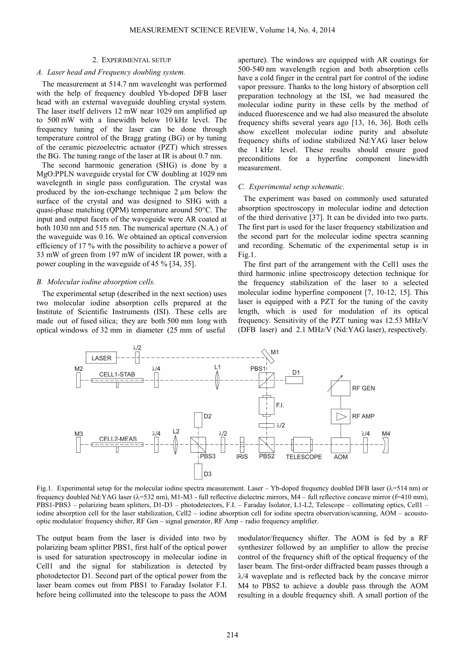## 2. EXPERIMENTAL SETUP

### *A. Laser head and Frequency doubling system.*

The measurement at 514.7 nm wavelenght was performed with the help of frequency doubled Yb-doped DFB laser head with an external waveguide doubling crystal system. The laser itself delivers 12 mW near 1029 nm amplified up to 500 mW with a linewidth below 10 kHz level. The frequency tuning of the laser can be done through temperature control of the Bragg grating (BG) or by tuning of the ceramic piezoelectric actuator (PZT) which stresses the BG. The tuning range of the laser at IR is about 0.7 nm.

The second harmonic generation (SHG) is done by a MgO:PPLN waveguide crystal for CW doubling at 1029 nm wavelegnth in single pass configuration. The crystal was produced by the ion-exchange technique  $2 \mu m$  below the surface of the crystal and was designed to SHG with a quasi-phase matching (QPM) temperature around 50°C. The input and output facets of the waveguide were AR coated at both 1030 nm and 515 nm. The numerical aperture (N.A.) of the waveguide was 0.16. We obtained an optical conversion efficiency of 17 % with the possibility to achieve a power of 33 mW of green from 197 mW of incident IR power, with a power coupling in the waveguide of 45 % [34, 35].

#### *B. Molecular iodine absorption cells.*

The experimental setup (described in the next section) uses two molecular iodine absorption cells prepared at the Institute of Scientific Instruments (ISI). These cells are made out of fused silica; they are both 500 mm long with optical windows of 32 mm in diameter (25 mm of useful

aperture). The windows are equipped with AR coatings for 500-540 nm wavelength region and both absorption cells have a cold finger in the central part for control of the iodine vapor pressure. Thanks to the long history of absorption cell preparation technology at the ISI, we had measured the molecular iodine purity in these cells by the method of induced fluorescence and we had also measured the absolute frequency shifts several years ago [13, 16, 36]. Both cells show excellent molecular iodine purity and absolute frequency shifts of iodine stabilized Nd:YAG laser below the 1 kHz level. These results should ensure good preconditions for a hyperfine component linewidth measurement.

#### *C. Experimental setup schematic.*

The experiment was based on commonly used saturated absorption spectroscopy in molecular iodine and detection of the third derivative [37]. It can be divided into two parts. The first part is used for the laser frequency stabilization and the second part for the molecular iodine spectra scanning and recording. Schematic of the experimental setup is in Fig.1.

The first part of the arrangement with the Cell1 uses the third harmonic inline spectroscopy detection technique for the frequency stabilization of the laser to a selected molecular iodine hyperfine component [7, 10-12, 15]. This laser is equipped with a PZT for the tuning of the cavity length, which is used for modulation of its optical frequency. Sensitivity of the PZT tuning was 12.53 MHz/V (DFB laser) and 2.1 MHz/V (Nd:YAG laser), respectively.



Fig.1. Experimental setup for the molecular iodine spectra measurement. Laser – Yb-doped frequency doubled DFB laser  $(\lambda = 514 \text{ nm})$  or frequency doubled Nd:YAG laser (λ=532 nm), M1-M3 - full reflective dielectric mirrors, M4 – full reflective concave mirror (f=410 mm), PBS1-PBS3 – polarizing beam splitters, D1-D3 – photodetectors, F.I. – Faraday Isolator, L1-L2, Telescope – collimating optics, Cell1 – iodine absorption cell for the laser stabilization, Cell2 – iodine absorption cell for iodine spectra observation/scanning, AOM – acoustooptic modulator/ frequency shifter, RF Gen – signal generator, RF Amp – radio frequency amplifier.

The output beam from the laser is divided into two by polarizing beam splitter PBS1, first half of the optical power is used for saturation spectroscopy in molecular iodine in Cell1 and the signal for stabilization is detected by photodetector D1. Second part of the optical power from the laser beam comes out from PBS1 to Faraday Isolator F.I. before being collimated into the telescope to pass the AOM

modulator/frequency shifter. The AOM is fed by a RF synthesizer followed by an amplifier to allow the precise control of the frequency shift of the optical frequency of the laser beam. The first-order diffracted beam passes through a  $\lambda$ /4 waveplate and is reflected back by the concave mirror M4 to PBS2 to achieve a double pass through the AOM resulting in a double frequency shift. A small portion of the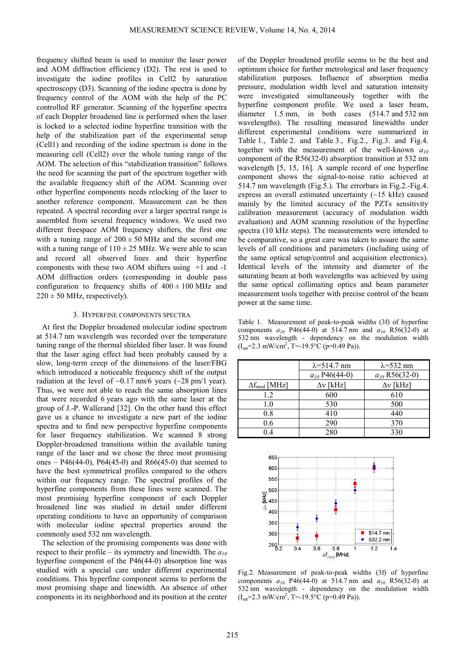frequency shifted beam is used to monitor the laser power and AOM diffraction efficiency (D2). The rest is used to investigate the iodine profiles in Cell2 by saturation spectroscopy (D3). Scanning of the iodine spectra is done by frequency control of the AOM with the help of the PC controlled RF generator. Scanning of the hyperfine spectra of each Doppler broadened line is performed when the laser is locked to a selected iodine hyperfine transition with the help of the stabilization part of the experimental setup (Cell1) and recording of the iodine spectrum is done in the measuring cell (Cell2) over the whole tuning range of the AOM. The selection of this "stabilization transition" follows the need for scanning the part of the spectrum together with the available frequency shift of the AOM. Scanning over other hyperfine components needs relocking of the laser to another reference component. Measurement can be then repeated. A spectral recording over a larger spectral range is assembled from several frequency windows. We used two different freespace AOM frequency shifters, the first one with a tuning range of  $200 \pm 50$  MHz and the second one with a tuning range of  $110 \pm 25$  MHz. We were able to scan and record all observed lines and their hyperfine components with these two AOM shifters using +1 and -1 AOM diffraction orders (corresponding in double pass configuration to frequency shifts of  $400 \pm 100$  MHz and  $220 \pm 50$  MHz, respectively).

#### 3. HYPERFINE COMPONENTS SPECTRA

At first the Doppler broadened molecular iodine spectrum at 514.7 nm wavelength was recorded over the temperature tuning range of the thermal shielded fiber laser. It was found that the laser aging effect had been probably caused by a slow, long-term creep of the dimensions of the laser/FBG which introduced a noticeable frequency shift of the output radiation at the level of  $\sim 0.17$  nm/6 years ( $\sim 28$  pm/1 year). Thus, we were not able to reach the same absorption lines that were recorded 6 years ago with the same laser at the group of J.-P. Wallerand [32]. On the other hand this effect gave us a chance to investigate a new part of the iodine spectra and to find new perspective hyperfine components for laser frequency stabilization. We scanned 8 strong Doppler-broadened transitions within the available tuning range of the laser and we chose the three most promising ones – P46(44-0), P64(45-0) and R66(45-0) that seemed to have the best symmetrical profiles compared to the others within our frequency range. The spectral profiles of the hyperfine components from these lines were scanned. The most promising hyperfine component of each Doppler broadened line was studied in detail under different operating conditions to have an opportunity of comparison with molecular iodine spectral properties around the commonly used 532 nm wavelength.

The selection of the promising components was done with respect to their profile – its symmetry and linewidth. The *a<sup>10</sup>* hyperfine component of the P46(44-0) absorption line was studied with a special care under different experimental conditions. This hyperfine component seems to perform the most promising shape and linewidth. An absence of other components in its neighborhood and its position at the center

of the Doppler broadened profile seems to be the best and optimum choice for further metrological and laser frequency stabilization purposes. Influence of absorption media pressure, modulation width level and saturation intensity were investigated simultaneously together with the hyperfine component profile. We used a laser beam, diameter 1.5 mm, in both cases (514.7 and 532 nm wavelengths). The resulting measured linewidths under different experimental conditions were summarized in Table 1., Table 2. and Table 3., Fig.2., Fig.3. and Fig.4. together with the measurement of the well-known *a<sup>10</sup>* component of the R56(32-0) absorption transition at 532 nm wavelength [5, 15, 16]. A sample record of one hyperfine component shows the signal-to-noise ratio achieved at 514.7 nm wavelength (Fig.5.). The errorbars in Fig.2.-Fig.4. express an overall estimated uncertainty (~15 kHz) caused mainly by the limited accuracy of the PZTs sensitivity calibration measurement (accuracy of modulation width evaluation) and AOM scanning resolution of the hyperfine spectra (10 kHz steps). The measurements were intended to be comparative, so a great care was taken to assure the same levels of all conditions and parameters (including using of the same optical setup/control and acquisition electronics). Identical levels of the intensity and diameter of the saturating beam at both wavelengths was achieved by using the same optical collimating optics and beam parameter measurement tools together with precise control of the beam power at the same time.

Table 1. Measurement of peak-to-peak widths (3f) of hyperfine components  $a_{10}$  P46(44-0) at 514.7 nm and  $a_{10}$  R56(32-0) at 532 nm wavelength - dependency on the modulation width  $(I<sub>sat</sub>=2.3 \text{ mW/cm}^2, T=-19.5^{\circ}\text{C (p=0.49 Pa)}).$ 

|                        | $\lambda = 514.7$ nm | $\lambda$ =532 nm  |
|------------------------|----------------------|--------------------|
|                        | $a_{10}$ P46(44-0)   | $a_{10}$ R56(32-0) |
| $\Delta f_{mod}$ [MHz] | $\Delta v$ [kHz]     | $\Delta v$ [kHz]   |
| 1.2                    | 600                  | 610                |
| 1.0                    | 530                  | 500                |
| 0.8                    | 410                  | 440                |
| 0.6                    | 290                  | 370                |
| 04                     | 280                  | 330                |



Fig.2. Measurement of peak-to-peak widths (3f) of hyperfine components  $a_{10}$  P46(44-0) at 514.7 nm and  $a_{10}$  R56(32-0) at 532 nm wavelength - dependency on the modulation width  $(I<sub>sat</sub>=2.3 \text{ mW/cm}^2, T=-19.5^{\circ}\text{C (p=0.49 Pa)}).$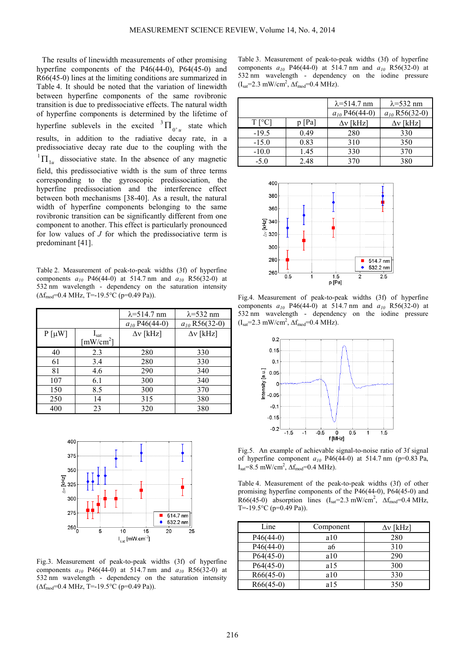The results of linewidth measurements of other promising hyperfine components of the P46(44-0), P64(45-0) and R66(45-0) lines at the limiting conditions are summarized in Table 4. It should be noted that the variation of linewidth between hyperfine components of the same rovibronic transition is due to predissociative effects. The natural width of hyperfine components is determined by the lifetime of hyperfine sublevels in the excited  ${}^{3} \Pi_{0^+u}$  ${}^3\Pi_{\alpha^+}$  state which results, in addition to the radiative decay rate, in a predissociative decay rate due to the coupling with the  ${}^{1}\Pi_{1u}$  dissociative state. In the absence of any magnetic field, this predissociative width is the sum of three terms corresponding to the gyroscopic predissociation, the hyperfine predissociation and the interference effect between both mechanisms [38-40]. As a result, the natural width of hyperfine components belonging to the same rovibronic transition can be significantly different from one component to another. This effect is particularly pronounced for low values of *J* for which the predissociative term is predominant [41].

Table 2. Measurement of peak-to-peak widths (3f) of hyperfine components  $a_{10}$  P46(44-0) at 514.7 nm and  $a_{10}$  R56(32-0) at 532 nm wavelength - dependency on the saturation intensity  $(\Delta f_{mod}=0.4 \text{ MHz}, T=-19.5^{\circ}\text{C (p=0.49 Pa)}).$ 

|            |                                                          | $\lambda = 514.7$ nm | $\lambda$ =532 nm  |
|------------|----------------------------------------------------------|----------------------|--------------------|
|            |                                                          | $a_{10}$ P46(44-0)   | $a_{10}$ R56(32-0) |
| $P[\mu W]$ | $I_{\text{sat}}$<br>$\lceil$ mW/cm <sup>2</sup> $\rceil$ | $\Delta v$ [kHz]     | $\Delta v$ [kHz]   |
| 40         | 2.3                                                      | 280                  | 330                |
| 61         | 3.4                                                      | 280                  | 330                |
| 81         | 4.6                                                      | 290                  | 340                |
| 107        | 6.1                                                      | 300                  | 340                |
| 150        | 8.5                                                      | 300                  | 370                |
| 250        | 14                                                       | 315                  | 380                |
| 400        | 23                                                       | 320                  | 380                |



Fig.3. Measurement of peak-to-peak widths (3f) of hyperfine components  $a_{10}$  P46(44-0) at 514.7 nm and  $a_{10}$  R56(32-0) at 532 nm wavelength - dependency on the saturation intensity  $(\Delta f_{mod}=0.4 \text{ MHz}, T=-19.5^{\circ}\text{C (p=0.49 Pa)}).$ 

Table 3. Measurement of peak-to-peak widths (3f) of hyperfine components  $a_{10}$  P46(44-0) at 514.7 nm and  $a_{10}$  R56(32-0) at 532 nm wavelength - dependency on the iodine pressure  $(I<sub>sat</sub>=2.3 mW/cm<sup>2</sup>,  $\Delta f_{mod}=0.4$  MHz).$ 

|                |        | $\lambda = 514.7$ nm | $\lambda$ =532 nm  |
|----------------|--------|----------------------|--------------------|
|                |        | $a_{10}$ P46(44-0)   | $a_{10}$ R56(32-0) |
| $T[^{\circ}C]$ | p [Pa] | $\Delta v$ [kHz]     | $\Delta v$ [kHz]   |
| $-19.5$        | 0.49   | 280                  | 330                |
| $-15.0$        | 0.83   | 310                  | 350                |
| $-10.0$        | 1.45   | 330                  | 370                |
| $-5.0$         | 2.48   | 370                  | 380                |



Fig.4. Measurement of peak-to-peak widths (3f) of hyperfine components  $a_{10}$  P46(44-0) at 514.7 nm and  $a_{10}$  R56(32-0) at 532 nm wavelength - dependency on the iodine pressure  $(I<sub>sat</sub>=2.3 mW/cm<sup>2</sup>,  $\Delta f_{mod}=0.4$  MHz).$ 



Fig.5. An example of achievable signal-to-noise ratio of 3f signal of hyperfine component  $a_{10}$  P46(44-0) at 514.7 nm (p=0.83 Pa,  $I_{\text{sat}} = 8.5 \text{ mW/cm}^2$ ,  $\Delta f_{\text{mod}} = 0.4 \text{ MHz}$ ).

Table 4. Measurement of the peak-to-peak widths (3f) of other promising hyperfine components of the P46(44-0), P64(45-0) and R66(45-0) absorption lines  $(I<sub>sat</sub>=2.3 \text{ mW/cm}^2$ ,  $\Delta f_{\text{mod}}=0.4 \text{ MHz}$ , T=-19.5 $\degree$ C (p=0.49 Pa)).

| Line        | Component | $\Delta v$ [kHz] |
|-------------|-----------|------------------|
| $P46(44-0)$ | a10       | 280              |
| $P46(44-0)$ | a6        | 310              |
| $P64(45-0)$ | a10       | 290              |
| $P64(45-0)$ | a15       | 300              |
| $R66(45-0)$ | a10       | 330              |
| $R66(45-0)$ | a15       | 350              |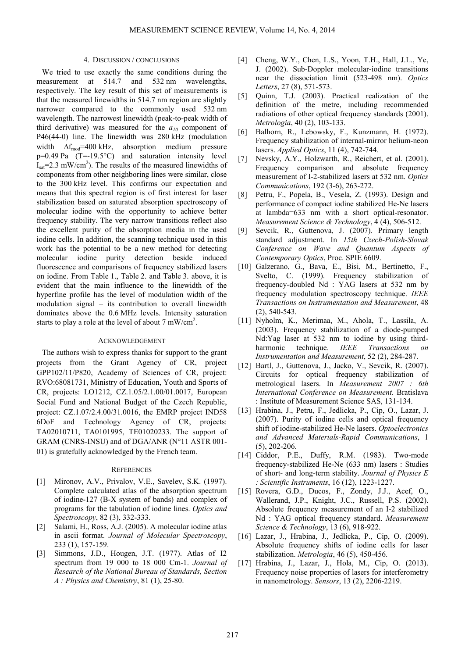#### 4. DISCUSSION / CONCLUSIONS

We tried to use exactly the same conditions during the measurement at 514.7 and 532 nm wavelengths, respectively. The key result of this set of measurements is that the measured linewidths in 514.7 nm region are slightly narrower compared to the commonly used 532 nm wavelength. The narrowest linewidth (peak-to-peak width of third derivative) was measured for the *a10* component of P46(44-0) line. The linewidth was 280 kHz (modulation width  $\Delta f_{\text{mod}}$ =400 kHz, absorption medium pressure  $p=0.49$  Pa  $(T=-19.5°C)$  and saturation intensity level  $I_{\text{sat}}$ =2.3 mW/cm<sup>2</sup>). The results of the measured linewidths of components from other neighboring lines were similar, close to the 300 kHz level. This confirms our expectation and means that this spectral region is of first interest for laser stabilization based on saturated absorption spectroscopy of molecular iodine with the opportunity to achieve better frequency stability. The very narrow transitions reflect also the excellent purity of the absorption media in the used iodine cells. In addition, the scanning technique used in this work has the potential to be a new method for detecting molecular iodine purity detection beside induced fluorescence and comparisons of frequency stabilized lasers on iodine. From Table 1., Table 2. and Table 3. above, it is evident that the main influence to the linewidth of the hyperfine profile has the level of modulation width of the modulation signal – its contribution to overall linewidth dominates above the 0.6 MHz levels. Intensity saturation starts to play a role at the level of about  $7 \text{ mW/cm}^2$ .

### ACKNOWLEDGEMENT

The authors wish to express thanks for support to the grant projects from the Grant Agency of CR, project GPP102/11/P820, Academy of Sciences of CR, project: RVO:68081731, Ministry of Education, Youth and Sports of CR, projects: LO1212, CZ.1.05/2.1.00/01.0017, European Social Fund and National Budget of the Czech Republic, project: CZ.1.07/2.4.00/31.0016, the EMRP project IND58 6DoF and Technology Agency of CR, projects: TA02010711, TA0101995, TE01020233. The support of GRAM (CNRS-INSU) and of DGA/ANR (N°11 ASTR 001- 01) is gratefully acknowledged by the French team.

### **REFERENCES**

- [1] Mironov, A.V., Privalov, V.E., Savelev, S.K. (1997). Complete calculated atlas of the absorption spectrum of iodine-127 (B-X system of bands) and complex of programs for the tabulation of iodine lines. *Optics and Spectroscopy*, 82 (3), 332-333.
- [2] Salami, H., Ross, A.J. (2005). A molecular iodine atlas in ascii format. *Journal of Molecular Spectroscopy*, 233 (1), 157-159.
- [3] Simmons, J.D., Hougen, J.T. (1977). Atlas of I2 spectrum from 19 000 to 18 000 Cm-1. *Journal of Research of the National Bureau of Standards, Section A : Physics and Chemistry*, 81 (1), 25-80.
- [4] Cheng, W.Y., Chen, L.S., Yoon, T.H., Hall, J.L., Ye, J. (2002). Sub-Doppler molecular-iodine transitions near the dissociation limit (523-498 nm). *Optics Letters*, 27 (8), 571-573.
- [5] Quinn, T.J. (2003). Practical realization of the definition of the metre, including recommended radiations of other optical frequency standards (2001). *Metrologia*, 40 (2), 103-133.
- [6] Balhorn, R., Lebowsky, F., Kunzmann, H. (1972). Frequency stabilization of internal-mirror helium-neon lasers. *Applied Optics*, 11 (4), 742-744.
- [7] Nevsky, A.Y., Holzwarth, R., Reichert, et al. (2001). Frequency comparison and absolute frequency measurement of I-2-stabilized lasers at 532 nm. *Optics Communications*, 192 (3-6), 263-272.
- [8] Petru, F., Popela, B., Vesela, Z. (1993). Design and performance of compact iodine stabilized He-Ne lasers at lambda=633 nm with a short optical-resonator. *Measurement Science & Technology*, 4 (4), 506-512.
- [9] Sevcik, R., Guttenova, J. (2007). Primary length standard adjustment. In *15th Czech-Polish-Slovak Conference on Wave and Quantum Aspects of Contemporary Optics*, Proc. SPIE 6609.
- [10] Galzerano, G., Bava, E., Bisi, M., Bertinetto, F., Svelto, C. (1999). Frequency stabilization of frequency-doubled Nd : YAG lasers at 532 nm by frequency modulation spectroscopy technique. *IEEE Transactions on Instrumentation and Measurement*, 48 (2), 540-543.
- [11] Nyholm, K., Merimaa, M., Ahola, T., Lassila, A. (2003). Frequency stabilization of a diode-pumped Nd:Yag laser at 532 nm to iodine by using thirdharmonic technique. *IEEE Transactions on Instrumentation and Measurement*, 52 (2), 284-287.
- [12] Bartl, J., Guttenova, J., Jacko, V., Sevcik, R. (2007). Circuits for optical frequency stabilization of metrological lasers. In *Measurement 2007 : 6th International Conference on Measurement.* Bratislava : Institute of Measurement Science SAS, 131-134.
- [13] Hrabina, J., Petru, F., Jedlicka, P., Cip, O., Lazar, J. (2007). Purity of iodine cells and optical frequency shift of iodine-stabilized He-Ne lasers. *Optoelectronics and Advanced Materials-Rapid Communications*, 1 (5), 202-206.
- [14] Ciddor, P.E., Duffy, R.M. (1983). Two-mode frequency-stabilized He-Ne (633 nm) lasers : Studies of short- and long-term stability. *Journal of Physics E : Scientific Instruments*, 16 (12), 1223-1227.
- [15] Rovera, G.D., Ducos, F., Zondy, J.J., Acef, O., Wallerand, J.P., Knight, J.C., Russell, P.S. (2002). Absolute frequency measurement of an I-2 stabilized Nd : YAG optical frequency standard. *Measurement Science & Technology*, 13 (6), 918-922.
- [16] Lazar, J., Hrabina, J., Jedlicka, P., Cip, O. (2009). Absolute frequency shifts of iodine cells for laser stabilization. *Metrologia*, 46 (5), 450-456.
- [17] Hrabina, J., Lazar, J., Hola, M., Cip, O. (2013). Frequency noise properties of lasers for interferometry in nanometrology. *Sensors*, 13 (2), 2206-2219.